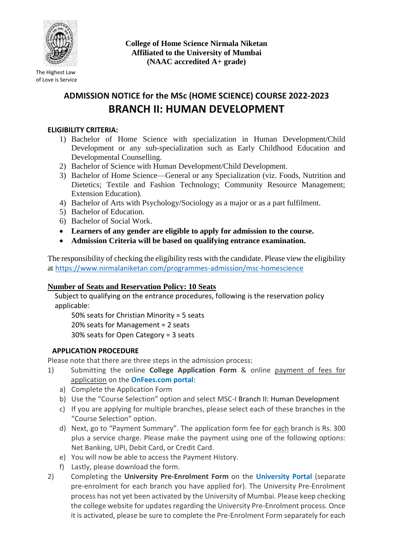

The Highest Law of Love is Service **College of Home Science Nirmala Niketan Affiliated to the University of Mumbai (NAAC accredited A+ grade)**

## **ADMISSION NOTICE for the MSc (HOME SCIENCE) COURSE 2022-2023 BRANCH II: HUMAN DEVELOPMENT**

## **ELIGIBILITY CRITERIA:**

- 1) Bachelor of Home Science with specialization in Human Development/Child Development or any sub-specialization such as Early Childhood Education and Developmental Counselling.
- 2) Bachelor of Science with Human Development/Child Development.
- 3) Bachelor of Home Science—General or any Specialization (viz. Foods, Nutrition and Dietetics; Textile and Fashion Technology; Community Resource Management; Extension Education).
- 4) Bachelor of Arts with Psychology/Sociology as a major or as a part fulfilment.
- 5) Bachelor of Education.
- 6) Bachelor of Social Work.
- **Learners of any gender are eligible to apply for admission to the course.**
- **Admission Criteria will be based on qualifying entrance examination.**

The responsibility of checking the eligibility rests with the candidate. Please view the eligibility at <https://www.nirmalaniketan.com/programmes-admission/msc-homescience>

## **Number of Seats and Reservation Policy: 10 Seats**

Subject to qualifying on the entrance procedures, following is the reservation policy applicable:

50% seats for Christian Minority = 5 seats

20% seats for Management = 2 seats

30% seats for Open Category = 3 seats

## **APPLICATION PROCEDURE**

Please note that there are three steps in the admission process:

- 1) Submitting the online **College Application Form** & online payment of fees for application on the **OnFees.com portal**:
	- a) Complete the Application Form
	- b) Use the "Course Selection" option and select MSC-I Branch II: Human Development
	- c) If you are applying for multiple branches, please select each of these branches in the "Course Selection" option.
	- d) Next, go to "Payment Summary". The application form fee for each branch is Rs. 300 plus a service charge. Please make the payment using one of the following options: Net Banking, UPI, Debit Card, or Credit Card.
	- e) You will now be able to access the Payment History.
	- f) Lastly, please download the form.
- 2) Completing the **University Pre-Enrolment Form** on the **University Portal** (separate pre-enrolment for each branch you have applied for). The University Pre-Enrolment process has not yet been activated by the University of Mumbai. Please keep checking the college website for updates regarding the University Pre-Enrolment process. Once it is activated, please be sure to complete the Pre-Enrolment Form separately for each